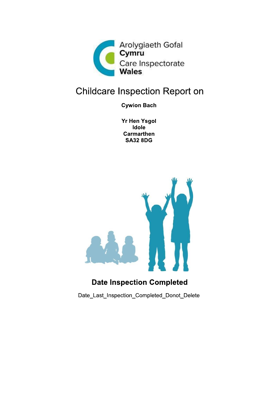

# **Childcare Inspection Report on**

**Cywion Bach** 

**Yr Hen Ysgol** Idole **Carmarthen SA32 8DG** 



## **Date Inspection Completed**

Date Last Inspection Completed Donot Delete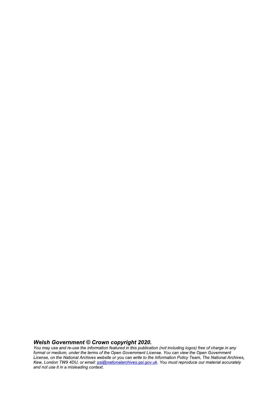Welsh Government © Crown copyright 2020.<br>You may use and re-use the information featured in this publication (not including logos) free of charge in any<br>format or medium, under the terms of the Open Government License. You Kew, London TW9 4DU, or email: psi@nationalarchives.gsi.gov.uk. You must reproduce our material accurately and not use it in a misleading context.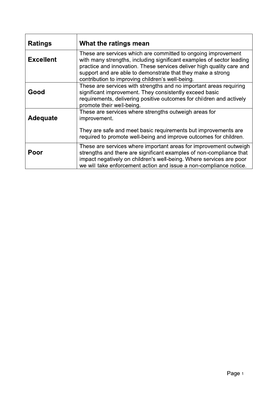| <b>Ratings</b>   | What the ratings mean                                                                                                                                                                                                                                                                                                              |
|------------------|------------------------------------------------------------------------------------------------------------------------------------------------------------------------------------------------------------------------------------------------------------------------------------------------------------------------------------|
| <b>Excellent</b> | These are services which are committed to ongoing improvement<br>with many strengths, including significant examples of sector leading<br>practice and innovation. These services deliver high quality care and<br>support and are able to demonstrate that they make a strong<br>contribution to improving children's well-being. |
| Good             | These are services with strengths and no important areas requiring<br>significant improvement. They consistently exceed basic<br>requirements, delivering positive outcomes for children and actively<br>promote their well-being.                                                                                                 |
| <b>Adequate</b>  | These are services where strengths outweigh areas for<br>improvement.<br>They are safe and meet basic requirements but improvements are<br>required to promote well-being and improve outcomes for children.                                                                                                                       |
| Poor             | These are services where important areas for improvement outweigh<br>strengths and there are significant examples of non-compliance that<br>impact negatively on children's well-being. Where services are poor<br>we will take enforcement action and issue a non-compliance notice.                                              |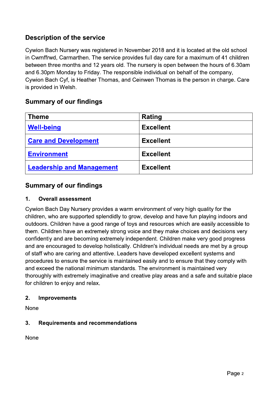## **Description of the service**

Cywion Bach Nursery was registered in November 2018 and it is located at the old school in Cwmffrwd, Carmarthen. The service provides full day care for a maximum of 41 children between three months and 12 years old. The nursery is open between the hours of 6.30am and 6.30pm Monday to Friday. The responsible individual on behalf of the company, Cywion Bach Cyf, is Heather Thomas, and Ceinwen Thomas is the person in charge. Care is provided in Welsh.

### **Summary of our findings**

| <b>Theme</b>                     | Rating           |
|----------------------------------|------------------|
| <b>Well-being</b>                | <b>Excellent</b> |
| <b>Care and Development</b>      | <b>Excellent</b> |
| <b>Environment</b>               | <b>Excellent</b> |
| <b>Leadership and Management</b> | <b>Excellent</b> |

### **Summary of our findings**

#### $1<sub>1</sub>$ **Overall assessment**

Cywion Bach Day Nursery provides a warm environment of very high quality for the children, who are supported splendidly to grow, develop and have fun playing indoors and outdoors. Children have a good range of toys and resources which are easily accessible to them. Children have an extremely strong voice and they make choices and decisions very confidently and are becoming extremely independent. Children make very good progress and are encouraged to develop holistically. Children's individual needs are met by a group of staff who are caring and attentive. Leaders have developed excellent systems and procedures to ensure the service is maintained easily and to ensure that they comply with and exceed the national minimum standards. The environment is maintained very thoroughly with extremely imaginative and creative play areas and a safe and suitable place for children to enjoy and relax.

#### $2.$ **Improvements**

**None** 

#### $3.$ **Requirements and recommendations**

None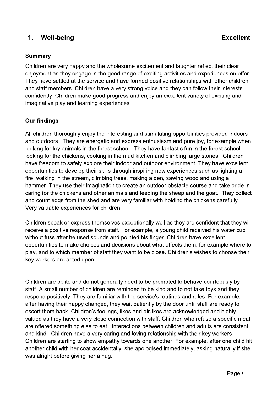#### $\mathbf 1$ . **Well-being**

### **Summary**

Children are very happy and the wholesome excitement and laughter reflect their clear enjoyment as they engage in the good range of exciting activities and experiences on offer. They have settled at the service and have formed positive relationships with other children and staff members. Children have a very strong voice and they can follow their interests confidently. Children make good progress and enjoy an excellent variety of exciting and imaginative play and learning experiences.

### **Our findings**

All children thoroughly enjoy the interesting and stimulating opportunities provided indoors and outdoors. They are energetic and express enthusiasm and pure joy, for example when looking for toy animals in the forest school. They have fantastic fun in the forest school looking for the chickens, cooking in the mud kitchen and climbing large stones. Children have freedom to safely explore their indoor and outdoor environment. They have excellent opportunities to develop their skills through inspiring new experiences such as lighting a fire, walking in the stream, climbing trees, making a den, sawing wood and using a hammer. They use their imagination to create an outdoor obstacle course and take pride in caring for the chickens and other animals and feeding the sheep and the goat. They collect and count eggs from the shed and are very familiar with holding the chickens carefully. Very valuable experiences for children.

Children speak or express themselves exceptionally well as they are confident that they will receive a positive response from staff. For example, a young child received his water cup without fuss after he used sounds and pointed his finger. Children have excellent opportunities to make choices and decisions about what affects them, for example where to play, and to which member of staff they want to be close. Children's wishes to choose their key workers are acted upon.

Children are polite and do not generally need to be prompted to behave courteously by staff. A small number of children are reminded to be kind and to not take toys and they respond positively. They are familiar with the service's routines and rules. For example, after having their nappy changed, they wait patiently by the door until staff are ready to escort them back. Children's feelings, likes and dislikes are acknowledged and highly valued as they have a very close connection with staff. Children who refuse a specific meal are offered something else to eat. Interactions between children and adults are consistent and kind. Children have a very caring and loving relationship with their key workers. Children are starting to show empathy towards one another. For example, after one child hit another child with her coat accidentally, she apologised immediately, asking naturally if she was alright before giving her a hug.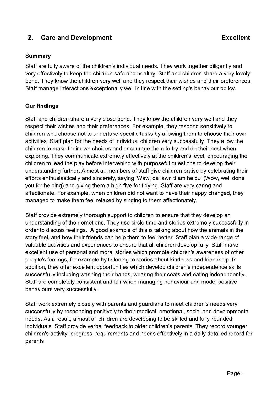#### $2.$ **Care and Development**

### **Summary**

Staff are fully aware of the children's individual needs. They work together diligently and very effectively to keep the children safe and healthy. Staff and children share a very lovely bond. They know the children very well and they respect their wishes and their preferences. Staff manage interactions exceptionally well in line with the setting's behaviour policy.

### **Our findings**

Staff and children share a very close bond. They know the children very well and they respect their wishes and their preferences. For example, they respond sensitively to children who choose not to undertake specific tasks by allowing them to choose their own activities. Staff plan for the needs of individual children very successfully. They allow the children to make their own choices and encourage them to try and do their best when exploring. They communicate extremely effectively at the children's level, encouraging the children to lead the play before intervening with purposeful questions to develop their understanding further. Almost all members of staff give children praise by celebrating their efforts enthusiastically and sincerely, saying 'Waw, da jawn ti am helpu' (Wow, well done you for helping) and giving them a high five for tidying. Staff are very caring and affectionate. For example, when children did not want to have their nappy changed, they managed to make them feel relaxed by singing to them affectionately.

Staff provide extremely thorough support to children to ensure that they develop an understanding of their emotions. They use circle time and stories extremely successfully in order to discuss feelings. A good example of this is talking about how the animals in the story feel, and how their friends can help them to feel better. Staff plan a wide range of valuable activities and experiences to ensure that all children develop fully. Staff make excellent use of personal and moral stories which promote children's awareness of other people's feelings, for example by listening to stories about kindness and friendship. In addition, they offer excellent opportunities which develop children's independence skills successfully including washing their hands, wearing their coats and eating independently. Staff are completely consistent and fair when managing behaviour and model positive behaviours very successfully.

Staff work extremely closely with parents and quardians to meet children's needs very successfully by responding positively to their medical, emotional, social and developmental needs. As a result, almost all children are developing to be skilled and fully-rounded individuals. Staff provide verbal feedback to older children's parents. They record younger children's activity, progress, requirements and needs effectively in a daily detailed record for parents.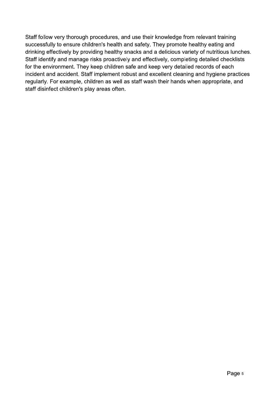Staff follow very thorough procedures, and use their knowledge from relevant training successfully to ensure children's health and safety. They promote healthy eating and drinking effectively by providing healthy snacks and a delicious variety of nutritious lunches. Staff identify and manage risks proactively and effectively, completing detailed checklists for the environment. They keep children safe and keep very detailed records of each incident and accident. Staff implement robust and excellent cleaning and hygiene practices regularly. For example, children as well as staff wash their hands when appropriate, and staff disinfect children's play areas often.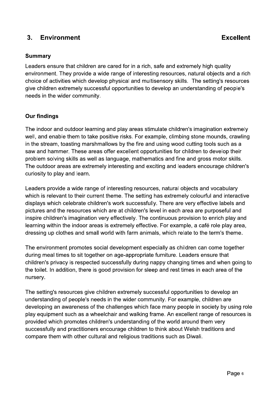#### **Environment**  $3<sub>1</sub>$

### **Summary**

Leaders ensure that children are cared for in a rich, safe and extremely high quality environment. They provide a wide range of interesting resources, natural objects and a rich choice of activities which develop physical and multisensory skills. The setting's resources give children extremely successful opportunities to develop an understanding of people's needs in the wider community.

### **Our findings**

The indoor and outdoor learning and play areas stimulate children's imagination extremely well, and enable them to take positive risks. For example, climbing stone mounds, crawling in the stream, toasting marshmallows by the fire and using wood cutting tools such as a saw and hammer. These areas offer excellent opportunities for children to develop their problem solving skills as well as language, mathematics and fine and gross motor skills. The outdoor areas are extremely interesting and exciting and leaders encourage children's curiosity to play and learn.

Leaders provide a wide range of interesting resources, natural objects and vocabulary which is relevant to their current theme. The setting has extremely colourful and interactive displays which celebrate children's work successfully. There are very effective labels and pictures and the resources which are at children's level in each area are purposeful and inspire children's imagination very effectively. The continuous provision to enrich play and learning within the indoor areas is extremely effective. For example, a café role play area, dressing up clothes and small world with farm animals, which relate to the term's theme.

The environment promotes social development especially as children can come together during meal times to sit together on age-appropriate furniture. Leaders ensure that children's privacy is respected successfully during nappy changing times and when going to the toilet. In addition, there is good provision for sleep and rest times in each area of the nursery.

The setting's resources give children extremely successful opportunities to develop an understanding of people's needs in the wider community. For example, children are developing an awareness of the challenges which face many people in society by using role play equipment such as a wheelchair and walking frame. An excellent range of resources is provided which promotes children's understanding of the world around them very successfully and practitioners encourage children to think about Welsh traditions and compare them with other cultural and religious traditions such as Diwali.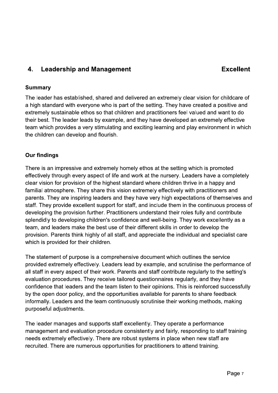#### **Leadership and Management** 4.

### **Summary**

The leader has established, shared and delivered an extremely clear vision for childcare of a high standard with everyone who is part of the setting. They have created a positive and extremely sustainable ethos so that children and practitioners feel valued and want to do their best. The leader leads by example, and they have developed an extremely effective team which provides a very stimulating and exciting learning and play environment in which the children can develop and flourish.

### **Our findings**

There is an impressive and extremely homely ethos at the setting which is promoted effectively through every aspect of life and work at the nursery. Leaders have a completely clear vision for provision of the highest standard where children thrive in a happy and familial atmosphere. They share this vision extremely effectively with practitioners and parents. They are inspiring leaders and they have very high expectations of themselves and staff. They provide excellent support for staff, and include them in the continuous process of developing the provision further. Practitioners understand their roles fully and contribute splendidly to developing children's confidence and well-being. They work excellently as a team, and leaders make the best use of their different skills in order to develop the provision. Parents think highly of all staff, and appreciate the individual and specialist care which is provided for their children.

The statement of purpose is a comprehensive document which outlines the service provided extremely effectively. Leaders lead by example, and scrutinise the performance of all staff in every aspect of their work. Parents and staff contribute regularly to the setting's evaluation procedures. They receive tailored questionnaires regularly, and they have confidence that leaders and the team listen to their opinions. This is reinforced successfully by the open door policy, and the opportunities available for parents to share feedback informally. Leaders and the team continuously scrutinise their working methods, making purposeful adjustments.

The leader manages and supports staff excellently. They operate a performance management and evaluation procedure consistently and fairly, responding to staff training needs extremely effectively. There are robust systems in place when new staff are recruited. There are numerous opportunities for practitioners to attend training.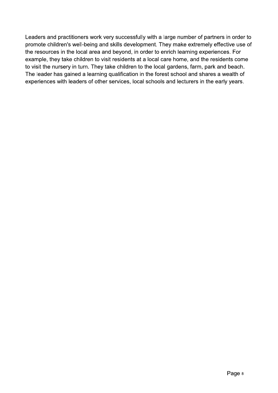Leaders and practitioners work very successfully with a large number of partners in order to promote children's well-being and skills development. They make extremely effective use of the resources in the local area and beyond, in order to enrich learning experiences. For example, they take children to visit residents at a local care home, and the residents come to visit the nursery in turn. They take children to the local gardens, farm, park and beach. The leader has gained a learning qualification in the forest school and shares a wealth of experiences with leaders of other services, local schools and lecturers in the early years.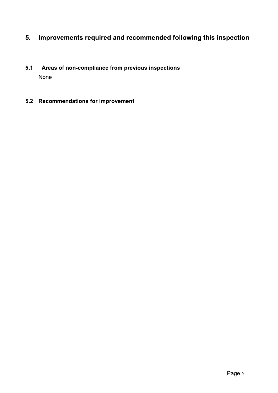#### Improvements required and recommended following this inspection 5.

- $5.1$ Areas of non-compliance from previous inspections None
- 5.2 Recommendations for improvement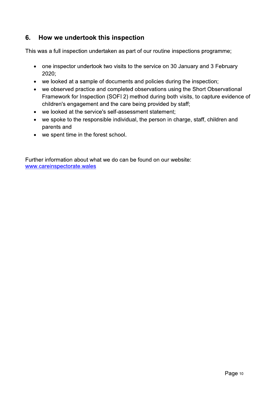#### $6.$ How we undertook this inspection

This was a full inspection undertaken as part of our routine inspections programme;

- one inspector undertook two visits to the service on 30 January and 3 February 2020;
- we looked at a sample of documents and policies during the inspection;
- we observed practice and completed observations using the Short Observational Framework for Inspection (SOFI 2) method during both visits, to capture evidence of children's engagement and the care being provided by staff;
- we looked at the service's self-assessment statement;
- we spoke to the responsible individual, the person in charge, staff, children and parents and
- we spent time in the forest school.

Further information about what we do can be found on our website: www.careinspectorate.wales